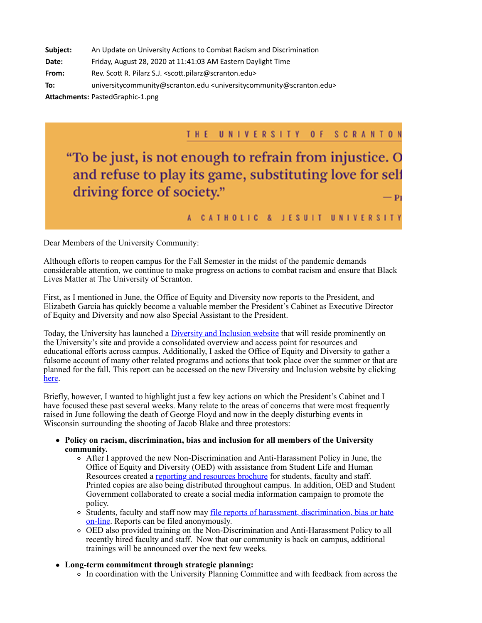**Subject:** An Update on University Actions to Combat Racism and Discrimination

**Date:** Friday, August 28, 2020 at 11:41:03 AM Eastern Daylight Time

**From:** Rev. Scott R. Pilarz S.J. <scott.pilarz@scranton.edu>

**To:** universitycommunity@scranton.edu <universitycommunity@scranton.edu>

Attachments: PastedGraphic-1.png

## THE UNIVERSITY OF SCRANTON

"To be just, is not enough to refrain from injustice. O and refuse to play its game, substituting love for self driving force of society." - Pi

## A CATHOLIC & JESUIT UNIVERSITY

Dear Members of the University Community:

Although efforts to reopen campus for the Fall Semester in the midst of the pandemic demands considerable attention, we continue to make progress on actions to combat racism and ensure that Black Lives Matter at The University of Scranton.

First, as I mentioned in June, the Office of Equity and Diversity now reports to the President, and Elizabeth Garcia has quickly become a valuable member the President's Cabinet as Executive Director of Equity and Diversity and now also Special Assistant to the President.

Today, the University has launched a *Diversity and Inclusion website* that will reside prominently on the University's site and provide a consolidated overview and access point for resources and educational efforts across campus. Additionally, I asked the Office of Equity and Diversity to gather a fulsome account of many other related programs and actions that took place over the summer or that are planned for the fall. This report can be accessed on the new Diversity and Inclusion website by clicking [here.](https://www.scranton.edu/about/diversity-inclusion/recommendations-and-actions.shtml)

Briefly, however, I wanted to highlight just a few key actions on which the President's Cabinet and I have focused these past several weeks. Many relate to the areas of concerns that were most frequently raised in June following the death of George Floyd and now in the deeply disturbing events in Wisconsin surrounding the shooting of Jacob Blake and three protestors:

- **Policy on racism, discrimination, bias and inclusion for all members of the University community.**
	- After I approved the new Non-Discrimination and Anti-Harassment Policy in June, the Office of Equity and Diversity (OED) with assistance from Student Life and Human Resources created a [reporting and resources brochure](https://www.scranton.edu/equity-diversity/non-discrimination-resource-brochure.pdf) for students, faculty and staff. Printed copies are also being distributed throughout campus. In addition, OED and Student Government collaborated to create a social media information campaign to promote the policy.
	- [Students, faculty and staff now may file reports of harassment, discrimination, bias or hate](https://scranton.i-sight.com/external-capture) on-line. Reports can be filed anonymously.
	- OED also provided training on the Non-Discrimination and Anti-Harassment Policy to all recently hired faculty and staff. Now that our community is back on campus, additional trainings will be announced over the next few weeks.
- **Long-term commitment through strategic planning:**
	- In coordination with the University Planning Committee and with feedback from across the